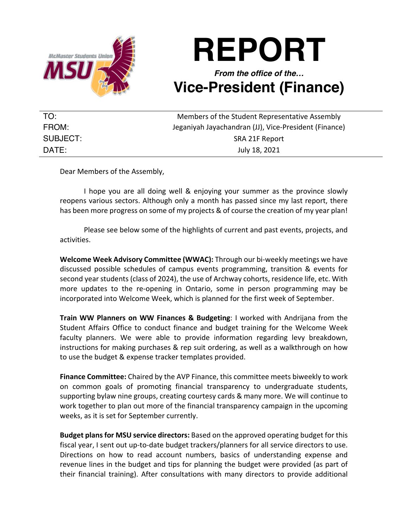

## **REPORT**

## *From the office of the…* **Vice-President (Finance)**

| TO:      | Members of the Student Representative Assembly        |
|----------|-------------------------------------------------------|
| FROM:    | Jeganiyah Jayachandran (JJ), Vice-President (Finance) |
| SUBJECT: | SRA 21F Report                                        |
| DATE:    | July 18, 2021                                         |

Dear Members of the Assembly,

I hope you are all doing well & enjoying your summer as the province slowly reopens various sectors. Although only a month has passed since my last report, there has been more progress on some of my projects & of course the creation of my year plan!

Please see below some of the highlights of current and past events, projects, and activities.

**Welcome Week Advisory Committee (WWAC):** Through our bi-weekly meetings we have discussed possible schedules of campus events programming, transition & events for second year students (class of 2024), the use of Archway cohorts, residence life, etc. With more updates to the re-opening in Ontario, some in person programming may be incorporated into Welcome Week, which is planned for the first week of September.

**Train WW Planners on WW Finances & Budgeting**: I worked with Andrijana from the Student Affairs Office to conduct finance and budget training for the Welcome Week faculty planners. We were able to provide information regarding levy breakdown, instructions for making purchases & rep suit ordering, as well as a walkthrough on how to use the budget & expense tracker templates provided.

**Finance Committee:** Chaired by the AVP Finance, this committee meets biweekly to work on common goals of promoting financial transparency to undergraduate students, supporting bylaw nine groups, creating courtesy cards & many more. We will continue to work together to plan out more of the financial transparency campaign in the upcoming weeks, as it is set for September currently.

**Budget plansfor MSU service directors:** Based on the approved operating budget for this fiscal year, I sent out up-to-date budget trackers/planners for all service directors to use. Directions on how to read account numbers, basics of understanding expense and revenue lines in the budget and tips for planning the budget were provided (as part of their financial training). After consultations with many directors to provide additional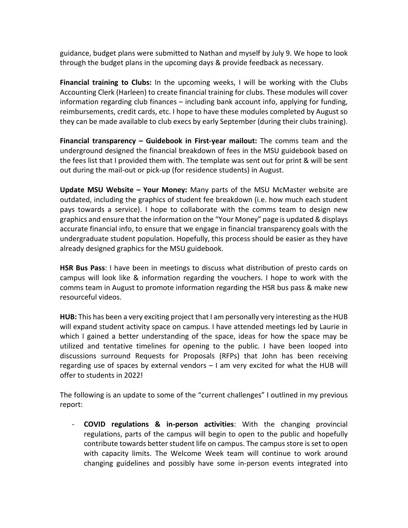guidance, budget plans were submitted to Nathan and myself by July 9. We hope to look through the budget plans in the upcoming days & provide feedback as necessary.

**Financial training to Clubs:** In the upcoming weeks, I will be working with the Clubs Accounting Clerk (Harleen) to create financial training for clubs. These modules will cover information regarding club finances – including bank account info, applying for funding, reimbursements, credit cards, etc. I hope to have these modules completed by August so they can be made available to club execs by early September (during their clubs training).

**Financial transparency – Guidebook in First-year mailout:** The comms team and the underground designed the financial breakdown of fees in the MSU guidebook based on the fees list that I provided them with. The template was sent out for print & will be sent out during the mail-out or pick-up (for residence students) in August.

**Update MSU Website – Your Money:** Many parts of the MSU McMaster website are outdated, including the graphics of student fee breakdown (i.e. how much each student pays towards a service). I hope to collaborate with the comms team to design new graphics and ensure that the information on the "Your Money" page is updated & displays accurate financial info, to ensure that we engage in financial transparency goals with the undergraduate student population. Hopefully, this process should be easier as they have already designed graphics for the MSU guidebook.

**HSR Bus Pass**: I have been in meetings to discuss what distribution of presto cards on campus will look like & information regarding the vouchers. I hope to work with the comms team in August to promote information regarding the HSR bus pass & make new resourceful videos.

**HUB:** This has been a very exciting project that I am personally very interesting as the HUB will expand student activity space on campus. I have attended meetings led by Laurie in which I gained a better understanding of the space, ideas for how the space may be utilized and tentative timelines for opening to the public. I have been looped into discussions surround Requests for Proposals (RFPs) that John has been receiving regarding use of spaces by external vendors – I am very excited for what the HUB will offer to students in 2022!

The following is an update to some of the "current challenges" I outlined in my previous report:

- **COVID regulations & in-person activities**: With the changing provincial regulations, parts of the campus will begin to open to the public and hopefully contribute towards better student life on campus. The campus store is set to open with capacity limits. The Welcome Week team will continue to work around changing guidelines and possibly have some in-person events integrated into